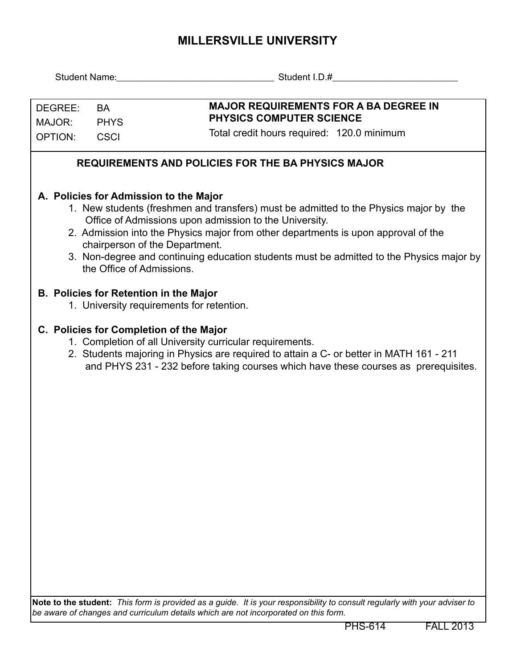## **MILLERSVILLE UNIVERSITY**

| DEGREE:<br>MAJOR:                                         | <b>BA</b><br><b>PHYS</b> | <b>MAJOR REQUIREMENTS FOR A BA DEGREE IN</b><br><b>PHYSICS COMPUTER SCIENCE</b>                                                                                                                                                                                                                                                                                                                                                            |  |  |  |  |  |  |  |
|-----------------------------------------------------------|--------------------------|--------------------------------------------------------------------------------------------------------------------------------------------------------------------------------------------------------------------------------------------------------------------------------------------------------------------------------------------------------------------------------------------------------------------------------------------|--|--|--|--|--|--|--|
| OPTION:                                                   | <b>CSCI</b>              | Total credit hours required: 120.0 minimum                                                                                                                                                                                                                                                                                                                                                                                                 |  |  |  |  |  |  |  |
| <b>REQUIREMENTS AND POLICIES FOR THE BA PHYSICS MAJOR</b> |                          |                                                                                                                                                                                                                                                                                                                                                                                                                                            |  |  |  |  |  |  |  |
|                                                           |                          | A. Policies for Admission to the Major<br>1. New students (freshmen and transfers) must be admitted to the Physics major by the<br>Office of Admissions upon admission to the University.<br>2. Admission into the Physics major from other departments is upon approval of the<br>chairperson of the Department.<br>3. Non-degree and continuing education students must be admitted to the Physics major by<br>the Office of Admissions. |  |  |  |  |  |  |  |
|                                                           |                          | <b>B. Policies for Retention in the Major</b><br>1. University requirements for retention.                                                                                                                                                                                                                                                                                                                                                 |  |  |  |  |  |  |  |
|                                                           |                          | C. Policies for Completion of the Major<br>1. Completion of all University curricular requirements.<br>2. Students majoring in Physics are required to attain a C- or better in MATH 161 - 211<br>and PHYS 231 - 232 before taking courses which have these courses as prerequisites.                                                                                                                                                      |  |  |  |  |  |  |  |
|                                                           |                          | Note to the student: This form is provided as a guide. It is your responsibility to consult regularly with your adviser to                                                                                                                                                                                                                                                                                                                 |  |  |  |  |  |  |  |

*be aware of changes and curriculum details which are not incorporated on this form.*